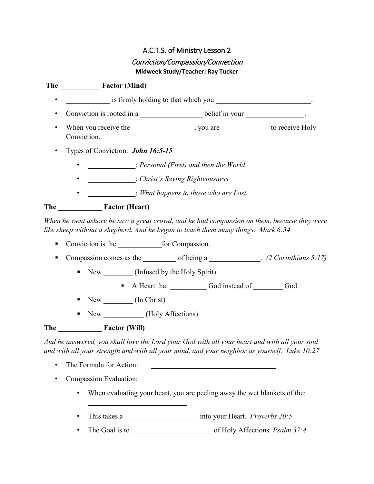# A.C.T.S. of Ministry Lesson 2 Conviction/Compassion/Connection **Midweek Study/Teacher: Ray Tucker**

**The \_\_\_\_\_\_\_\_\_\_\_ Factor (Mind)**  $\frac{1}{2}$  is firmly holding to that which you  $\frac{1}{2}$ • Conviction is rooted in a **Let up a** belief in your **Let up a** let up a let up a let up a let up a let up a let up a let up a let up a let up a let up a let up a let up a let up a let up a let up a let up a let up a let • When you receive the the same summary you are to receive Holy Conviction. • Types of Conviction: *John 16:5-15* • \_\_\_\_\_\_\_\_\_\_\_\_\_: *Personal (First) and then the World* • \_\_\_\_\_\_\_\_\_\_\_\_\_: *Christ's Saving Righteousness* • \_\_\_\_\_\_\_\_\_\_\_\_\_: *What happens to those who are Lost* **The \_\_\_\_\_\_\_\_\_\_\_\_ Factor (Heart)**

*When he went ashore he saw a great crowd, and he had compassion on them, because they were like sheep without a shepherd. And he began to teach them many things. Mark 6:34*

- Conviction is the for Compassion.
- Compassion comes as the of being a \_\_\_\_\_\_\_\_\_\_. *(2 Corinthians 5:17)* 
	- New (Infused by the Holy Spirit)
		- A Heart that God instead of God.
	- New (In Christ)
	- New Holy Affections

\_\_\_\_\_\_\_\_\_\_\_\_\_\_\_\_\_\_\_\_\_\_\_\_\_\_\_

## **The \_\_\_\_\_\_\_\_\_\_\_\_ Factor (Will)**

*And he answered, you shall love the Lord your God with all your heart and with all your soul and with all your strength and with all your mind, and your neighbor as yourself. Luke 10:27*

- The Formula for Action:
- Compassion Evaluation:
	- When evaluating your heart, you are peeling away the wet blankets of the:
	- This takes a \_\_\_\_\_\_\_\_\_\_\_\_\_\_\_\_\_\_\_\_ into your Heart. *Proverbs 20:5*
	- The Goal is to \_\_\_\_\_\_\_\_\_\_\_\_\_\_\_\_\_\_\_\_\_\_ of Holy Affections. *Psalm 37:4*